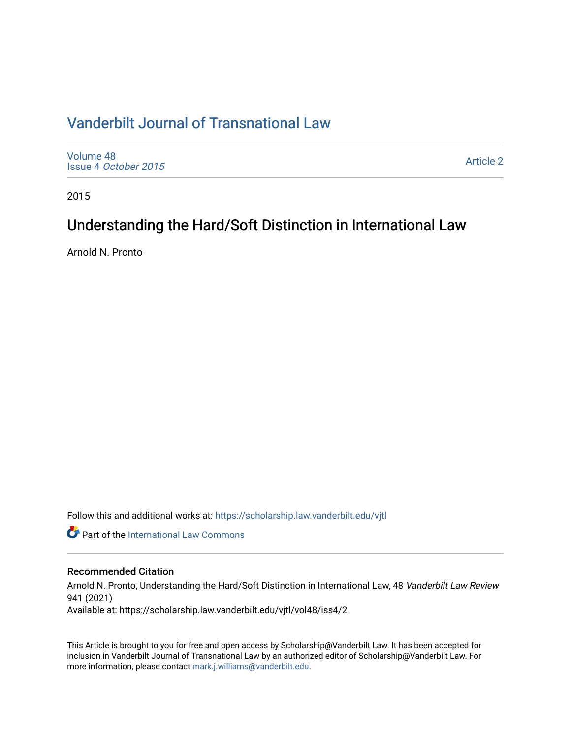## [Vanderbilt Journal of Transnational Law](https://scholarship.law.vanderbilt.edu/vjtl)

[Volume 48](https://scholarship.law.vanderbilt.edu/vjtl/vol48) Issue 4 [October 2015](https://scholarship.law.vanderbilt.edu/vjtl/vol48/iss4)

[Article 2](https://scholarship.law.vanderbilt.edu/vjtl/vol48/iss4/2) 

2015

# Understanding the Hard/Soft Distinction in International Law

Arnold N. Pronto

Follow this and additional works at: [https://scholarship.law.vanderbilt.edu/vjtl](https://scholarship.law.vanderbilt.edu/vjtl?utm_source=scholarship.law.vanderbilt.edu%2Fvjtl%2Fvol48%2Fiss4%2F2&utm_medium=PDF&utm_campaign=PDFCoverPages) 

**Part of the International Law Commons** 

## Recommended Citation

Arnold N. Pronto, Understanding the Hard/Soft Distinction in International Law, 48 Vanderbilt Law Review 941 (2021)

Available at: https://scholarship.law.vanderbilt.edu/vjtl/vol48/iss4/2

This Article is brought to you for free and open access by Scholarship@Vanderbilt Law. It has been accepted for inclusion in Vanderbilt Journal of Transnational Law by an authorized editor of Scholarship@Vanderbilt Law. For more information, please contact [mark.j.williams@vanderbilt.edu](mailto:mark.j.williams@vanderbilt.edu).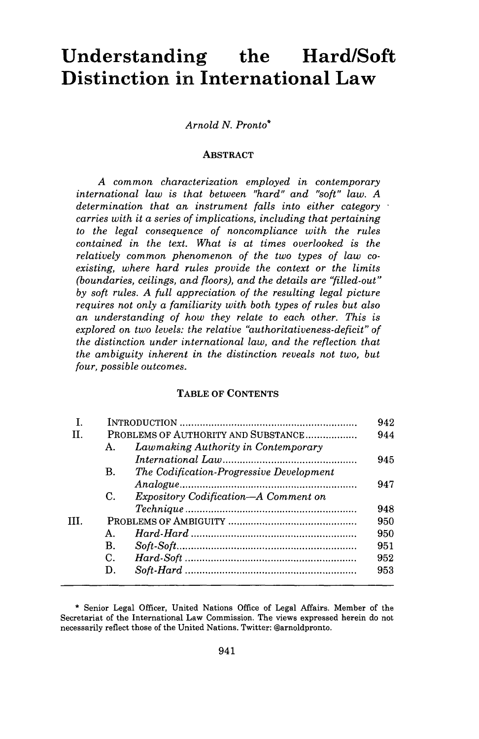# **Understanding the Hard/Soft Distinction in International Law**

## *Arnold N. Pronto\**

#### ABSTRACT

*A common characterization employed in contemporary international law is that between "hard" and "soft" law. A determination that an instrument falls into either category carries with it a series of implications, including that pertaining to the legal consequence of noncompliance with the rules contained in the text. What is at times overlooked is the relatively common phenomenon of the two types of law coexisting, where hard rules provide the context or the limits (boundaries, ceilings, and floors), and the details are "filled-out" by soft rules. A full appreciation of the resulting legal picture requires not only a familiarity with both types of rules but also an understanding of how they relate to each other. This is explored on two levels: the relative "authoritativeness-deficit" of the distinction under international law, and the reflection that the ambiguity inherent in the distinction reveals not two, but four, possible outcomes.*

## TABLE OF **CONTENTS**

|     |                                     |                                             | 942 |
|-----|-------------------------------------|---------------------------------------------|-----|
| H.  | PROBLEMS OF AUTHORITY AND SUBSTANCE |                                             | 944 |
|     | $A_{-}$                             | Lawmaking Authority in Contemporary         |     |
|     |                                     |                                             | 945 |
|     | В.                                  | The Codification-Progressive Development    |     |
|     |                                     |                                             | 947 |
|     | C.                                  | <i>Expository Codification—A Comment on</i> |     |
|     |                                     |                                             | 948 |
| TH. |                                     |                                             | 950 |
|     | Α.                                  |                                             | 950 |
|     | B.                                  |                                             | 951 |
|     | C.                                  |                                             | 952 |
|     | D.                                  |                                             | 953 |
|     |                                     |                                             |     |

<sup>\*</sup> Senior Legal Officer, United Nations Office of Legal Affairs. Member of the Secretariat of the International Law Commission. The views expressed herein do not necessarily reflect those of the United Nations. Twitter: @arnoldpronto.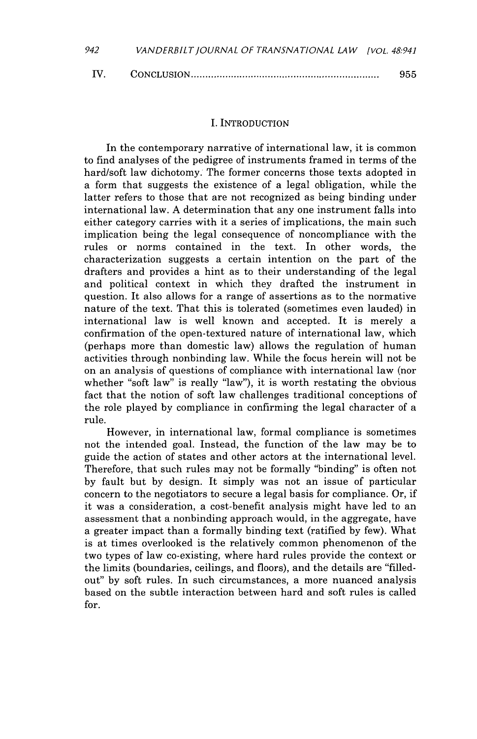| IV. |  | 955 |
|-----|--|-----|
|-----|--|-----|

#### I. INTRODUCTION

In the contemporary narrative of international law, it is common to find analyses of the pedigree of instruments framed in terms of the hard/soft law dichotomy. The former concerns those texts adopted in a form that suggests the existence of a legal obligation, while the latter refers to those that are not recognized as being binding under international law. **A** determination that any one instrument falls into either category carries with it a series of implications, the main such implication being the legal consequence of noncompliance with the rules or norms contained in the text. In other words, the characterization suggests a certain intention on the part of the drafters and provides a hint as to their understanding of the legal and political context in which they drafted the instrument in question. It also allows for a range of assertions as to the normative nature of the text. That this is tolerated (sometimes even lauded) in international law is well known and accepted. It is merely a confirmation of the open-textured nature of international law, which (perhaps more than domestic law) allows the regulation of human activities through nonbinding law. While the focus herein will not be on an analysis of questions of compliance with international law (nor whether "soft law" is really "law"), it is worth restating the obvious fact that the notion of soft law challenges traditional conceptions of the role played **by** compliance in confirming the legal character of a rule.

However, in international law, formal compliance is sometimes not the intended goal. Instead, the function of the law may be to guide the action of states and other actors at the international level. Therefore, that such rules may not be formally "binding" is often not **by** fault but **by** design. It simply was not an issue of particular concern to the negotiators to secure a legal basis for compliance. Or, if it was a consideration, a cost-benefit analysis might have led to an assessment that a nonbinding approach would, in the aggregate, have a greater impact than a formally binding text (ratified **by** few). What is at times overlooked is the relatively common phenomenon of the two types of law co-existing, where hard rules provide the context or the limits (boundaries, ceilings, and floors), and the details are "filledout" **by** soft rules. In such circumstances, a more nuanced analysis based on the subtle interaction between hard and soft rules is called for.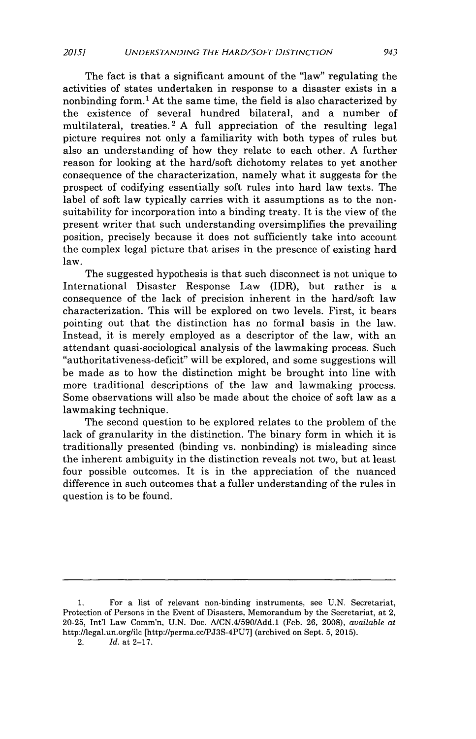The fact is that a significant amount of the "law" regulating the activities of states undertaken in response to a disaster exists in a nonbinding form.' At the same time, the field is also characterized **by** the existence of several hundred bilateral, and a number of multilateral, treaties. 2 **A** full appreciation of the resulting legal picture requires not only a familiarity with both types of rules but also an understanding of how they relate to each other. **A** further reason for looking at the hard/soft dichotomy relates to yet another consequence of the characterization, namely what it suggests for the prospect of codifying essentially soft rules into hard law texts. The label of soft law typically carries with it assumptions as to the nonsuitability for incorporation into a binding treaty. It is the view of the present writer that such understanding oversimplifies the prevailing position, precisely because it does not sufficiently take into account the complex legal picture that arises in the presence of existing hard law.

The suggested hypothesis is that such disconnect is not unique to International Disaster Response Law (IDR), but rather is a consequence of the lack of precision inherent in the hard/soft law characterization. This will be explored on two levels. First, it bears pointing out that the distinction has no formal basis in the law. Instead, it is merely employed as a descriptor of the law, with an attendant quasi-sociological analysis of the lawmaking process. Such "authoritativeness-deficit" will be explored, and some suggestions will be made as to how the distinction might be brought into line with more traditional descriptions of the law and lawmaking process. Some observations will also be made about the choice of soft law as a lawmaking technique.

The second question to be explored relates to the problem of the lack of granularity in the distinction. The binary form in which it is traditionally presented (binding vs. nonbinding) is misleading since the inherent ambiguity in the distinction reveals not two, but at least four possible outcomes. It is in the appreciation of the nuanced difference in such outcomes that a fuller understanding of the rules in question is to be found.

2. *Id.* at **2-17.**

**<sup>1.</sup>** For a list of relevant non-binding instruments, see **U.N.** Secretariat, Protection of Persons in the Event of Disasters, Memorandum **by** the Secretariat, at 2, **20-25,** Int'l Law Comm'n, **U.N.** Doc. **A/CN.4/590/Add.1** (Feb. **26, 2008),** *available at* http://legal.un.org/ile [http://perma.cc/PJ3S-4PU7] (archived on Sept. **5, 2015).**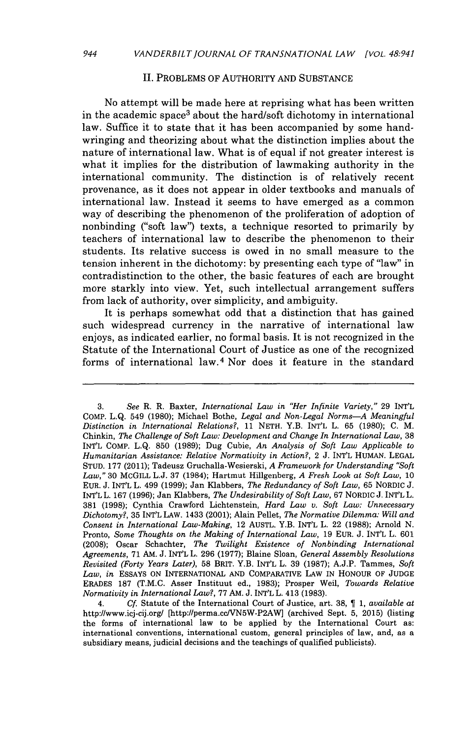#### **II.** PROBLEMS OF AUTHORITY **AND SUBSTANCE**

No attempt will be made here at reprising what has been written in the academic space<sup>3</sup> about the hard/soft dichotomy in international law. Suffice it to state that it has been accompanied **by** some handwringing and theorizing about what the distinction implies about the nature of international law. What is of equal if not greater interest is what it implies for the distribution of lawmaking authority in the international community. The distinction is of relatively recent provenance, as it does not appear in older textbooks and manuals of international law. Instead it seems to have emerged as a common way of describing the phenomenon of the proliferation of adoption of nonbinding ("soft law") texts, a technique resorted to primarily **by** teachers of international law to describe the phenomenon to their students. Its relative success is owed in no small measure to the tension inherent in the dichotomy: **by** presenting each type of "law" in contradistinction to the other, the basic features of each are brought more starkly into view. Yet, such intellectual arrangement suffers from lack of authority, over simplicity, and ambiguity.

It is perhaps somewhat odd that a distinction that has gained such widespread currency in the narrative of international law enjoys, as indicated earlier, no formal basis. It is not recognized in the Statute of the International Court of Justice as one of the recognized forms of international law.<sup>4</sup> Nor does it feature in the standard

4. *Cf.* Statute of the International Court of Justice, art. **38,** ¶ *1, available at* http://www.icj-cij.org/ [http://perma.cclVN5W-P2AW] (archived Sept. **5, 2015)** (listing the forms of international law to be applied **by** the International Court as: international conventions, international custom, general principles of law, and, as a subsidiary means, judicial decisions and the teachings of qualified publicists).

**<sup>3.</sup>** *See* R. R. Baxter, *International Law in "Her Infinite Variety,"* **29** INT'L COMP. **L.Q.** 549 **(1980);** Michael Bothe, *Legal and Non-Legal Norms-A Meaningful Distinction in International Relations?, 11* **NETH.** Y.B. INT'L L. **65 (1980); C.** M. Chinkin, *The Challenge of Soft Law: Development and Change In International Law,* **38** INT'L COMP. **L.Q. 850 (1989);** Dug Cubie, *An Analysis of Soft Law Applicable to Humanitarian Assistance: Relative Normativity in Action?,* 2 **J.** INT'L HUMAN. **LEGAL STUD. 177** (2011); Tadeusz Gruchalla-Wesierski, *A Framework for Understanding "Soft Law,"* **30 McGILL L.J. 37** (1984); Hartmut Hillgenberg, *A Fresh Look at Soft Law, 10* EuR. **J.** *INT'L* L. 499 **(1999);** Jan Klabbers, *The Redundancy of Soft Law,* **65** NORDIC **J. INT'L** L. **167 (1996);** Jan Klabbers, *The Undesirability of Soft Law,* **67** NORDIC **J.** INT'L L. **381 (1998);** Cynthia Crawford Lichtenstein, *Hard Law v. Soft Law: Unnecessary Dichotomy?,* **35** INT'L LAW. 1433 (2001); Alain Pellet, *The Normative Dilemma: Will and Consent in International Law-Making,* 12 AUSTL. Y.B. INT'L L. 22 **(1988);** Arnold **N.** Pronto, *Some Thoughts on the Making of International Law,* **19 EUR. J.** INT'L L. **601 (2008);** Oscar Schachter, *The Twilight Existence of Nonbinding International Agreements,* **71** AM. **J.** INT'L L. **296 (1977);** Blaine Sloan, *General Assembly Resolutions Revisited (Forty Years Later),* **58** BRIT. Y.B. INT'L L. **39 (1987); A.J.P.** Tammes, *Soft Law, in* ESSAYS **ON** INTERNATIONAL **AND** COMPARATIVE LAW IN HONOUR OF **JUDGE ERADES 187** (T.M.C. Asser Instituut ed., **1983);** Prosper Weil, *Towards Relative Normativity in International Law?,* **77 AM. J. INT'L** L. 413 **(1983).**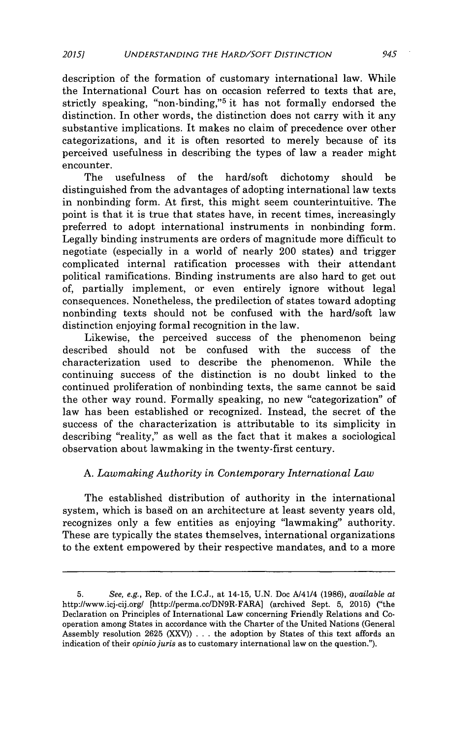description of the formation of customary international law. While the International Court has on occasion referred to texts that are, strictly speaking, "non-binding,"<sup>5</sup> it has not formally endorsed the distinction. In other words, the distinction does not carry with it any substantive implications. It makes no claim of precedence over other categorizations, and it is often resorted to merely because of its perceived usefulness in describing the types of law a reader might encounter.

The usefulness of the hard/soft dichotomy should be distinguished from the advantages of adopting international law texts in nonbinding form. At first, this might seem counterintuitive. The point is that it is true that states have, in recent times, increasingly preferred to adopt international instruments in nonbinding form. Legally binding instruments are orders of magnitude more difficult to negotiate (especially in a world of nearly 200 states) and trigger complicated internal ratification processes with their attendant political ramifications. Binding instruments are also hard to get out of, partially implement, or even entirely ignore without legal consequences. Nonetheless, the predilection of states toward adopting nonbinding texts should not be confused with the hard/soft law distinction enjoying formal recognition in the law.

Likewise, the perceived success of the phenomenon being described should not be confused with the success of the characterization used to describe the phenomenon. While the continuing success of the distinction is no doubt linked to the continued proliferation of nonbinding texts, the same cannot be said the other way round. Formally speaking, no new "categorization" of law has been established or recognized. Instead, the secret of the success of the characterization is attributable to its simplicity in describing "reality," as well as the fact that it makes a sociological observation about lawmaking in the twenty-first century.

## **A.** *Lawmaking Authority in Contemporary International Law*

The established distribution of authority in the international system, which is based on an architecture at least seventy years old, recognizes only a few entities as enjoying "lawmaking" authority. These are typically the states themselves, international organizations to the extent empowered **by** their respective mandates, and to a more

**<sup>5.</sup>** See, e.g., Rep. of the I.C.J., at 14-15, **U.N.** Doc A/41/4 **(1986),** *available at* http://www.icj-cij.org/ [http://perma.cc/DN9R-FARA] (archived Sept. **5, 2015)** ("the Declaration on Principles of International Law concerning Friendly Relations and Cooperation among States in accordance with the Charter of the United Nations (General Assembly resolution **2625** (XXV)) **.** . **.** the adoption **by** States of this text affords an indication of their *opinio juris* as to customary international law on the question.").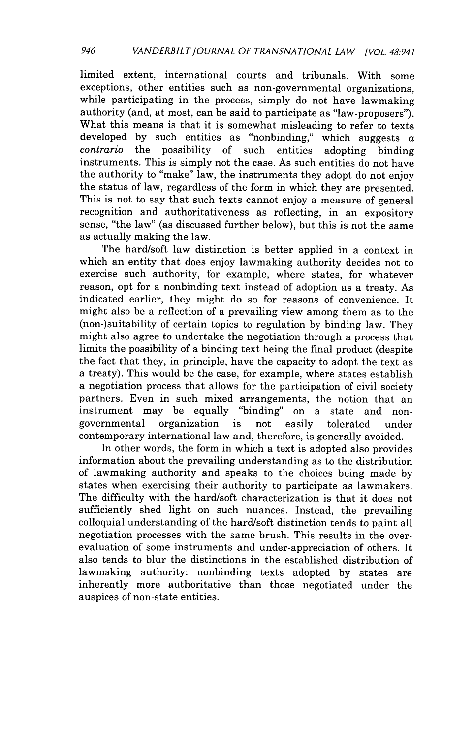limited extent, international courts and tribunals. With some exceptions, other entities such as non-governmental organizations, while participating in the process, simply do not have lawmaking authority (and, at most, can be said to participate as "law-proposers"). What this means is that it is somewhat misleading to refer to texts developed by such entities as "nonbinding," which suggests  $\alpha$  *contrario* the possibility of such entities adopting binding such entities adopting binding instruments. This is simply not the case. As such entities do not have the authority to "make" law, the instruments they adopt do not enjoy the status of law, regardless of the form in which they are presented. This is not to say that such texts cannot enjoy a measure of general recognition and authoritativeness as reflecting, in an expository sense, "the law" (as discussed further below), but this is not the same as actually making the law.

The hard/soft law distinction is better applied in a context in which an entity that does enjoy lawmaking authority decides not to exercise such authority, for example, where states, for whatever reason, opt for a nonbinding text instead of adoption as a treaty. As indicated earlier, they might do so for reasons of convenience. It might also be a reflection of a prevailing view among them as to the (non-)suitability of certain topics to regulation **by** binding law. They might also agree to undertake the negotiation through a process that limits the possibility of a binding text being the final product (despite the fact that they, in principle, have the capacity to adopt the text as a treaty). This would be the case, for example, where states establish a negotiation process that allows for the participation of civil society partners. Even in such mixed arrangements, the notion that an instrument may be equally "binding" on a state and nongovernmental organization is not easily tolerated under contemporary international law and, therefore, is generally avoided.

In other words, the form in which a text is adopted also provides information about the prevailing understanding as to the distribution of lawmaking authority and speaks to the choices being made **by** states when exercising their authority to participate as lawmakers. The difficulty with the hard/soft characterization is that it does not sufficiently shed light on such nuances. Instead, the prevailing colloquial understanding of the hard/soft distinction tends to paint all negotiation processes with the same brush. This results in the overevaluation of some instruments and under-appreciation of others. It also tends to blur the distinctions in the established distribution of lawmaking authority: nonbinding texts adopted **by** states are inherently more authoritative than those negotiated under the auspices of non-state entities.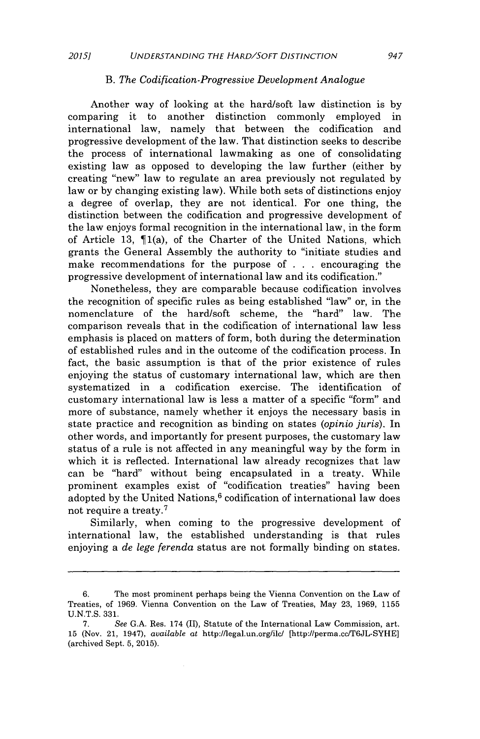#### B. *The Codification-Progressive Development Analogue*

Another way of looking at the hard/soft law distinction is **by** comparing it to another distinction commonly employed in international law, namely that between the codification and that between the codification and progressive development of the law. That distinction seeks to describe the process of international lawmaking as one of consolidating existing law as opposed to developing the law further (either **by** creating "new" law to regulate an area previously not regulated **by** law or **by** changing existing law). While both sets of distinctions enjoy a degree of overlap, they are not identical. For one thing, the distinction between the codification and progressive development of the law enjoys formal recognition in the international law, in the form of Article **13,** ¶1(a), of the Charter of the United Nations, which grants the General Assembly the authority to "initiate studies and make recommendations for the purpose of **. . .** encouraging the progressive development of international law and its codification."

Nonetheless, they are comparable because codification involves the recognition of specific rules as being established "law" or, in the nomenclature of the hard/soft scheme, the "hard" law. The comparison reveals that in the codification of international law less emphasis is placed on matters of form, both during the determination of established rules and in the outcome of the codification process. In fact, the basic assumption is that of the prior existence of rules enjoying the status of customary international law, which are then systematized in a codification exercise. The identification of customary international law is less a matter of a specific "form" and more of substance, namely whether it enjoys the necessary basis in state practice and recognition as binding on states *(opinio juris).* In other words, and importantly for present purposes, the customary law status of a rule is not affected in any meaningful way **by** the form in which it is reflected. International law already recognizes that law can be "hard" without being encapsulated in a treaty. While prominent examples exist of "codification treaties" having been adopted by the United Nations,<sup>6</sup> codification of international law does not require a treaty.<sup>7</sup>

Similarly, when coming to the progressive development of international law, the established understanding is that rules enjoying a *de lege ferenda* status are not formally binding on states.

**<sup>6.</sup>** The most prominent perhaps being the Vienna Convention on the Law of Treaties, of **1969.** Vienna Convention on the Law of Treaties, May **23, 1969, 1155 U.N.T.S. 331.**

**<sup>7.</sup>** *See* **G.A.** Res. 174 (II), Statute of the International Law Commission, art. **15** (Nov. 21, 1947), *available at* http://legal.un.org/ilc/ [http://perma.cc/T6JL-SYHE] (archived Sept. **5, 2015).**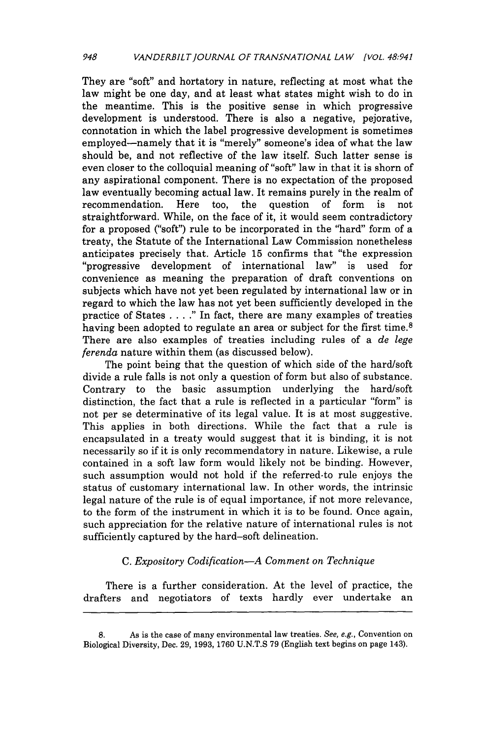They are "soft" and hortatory in nature, reflecting at most what the law might be one day, and at least what states might wish to do in the meantime. This is the positive sense in which progressive development is understood. There is also a negative, pejorative, connotation in which the label progressive development is sometimes employed-namely that it is "merely" someone's idea of what the law should be, and not reflective of the law itself. Such latter sense is even closer to the colloquial meaning of "soft" law in that it is shorn of any aspirational component. There is no expectation of the proposed law eventually becoming actual law. It remains purely in the realm of recommendation. Here too, the question of form is not straightforward. While, on the face of it, it would seem contradictory for a proposed ("soft") rule to be incorporated in the "hard" form of a treaty, the Statute of the International Law Commission nonetheless anticipates precisely that. Article **15** confirms that "the expression "progressive development of international law" is used for convenience as meaning the preparation of draft conventions on subjects which have not yet been regulated **by** international law or in regard to which the law has not yet been sufficiently developed in the practice of States **.** . . ." In fact, there are many examples of treaties having been adopted to regulate an area or subject for the first time.<sup>8</sup> There are also examples of treaties including rules of a *de lege ferenda* nature within them (as discussed below).

The point being that the question of which side of the hard/soft divide a rule falls is not only a question of form but also of substance. Contrary to the basic assumption underlying the hard/soft distinction, the fact that a rule is reflected in a particular "form" is not per se determinative of its legal value. It is at most suggestive. This applies in both directions. While the fact that a rule is encapsulated in a treaty would suggest that it is binding, it is not necessarily so if it is only recommendatory in nature. Likewise, a rule contained in a soft law form would likely not be binding. However, such assumption would not hold if the referred-to rule enjoys the status of customary international law. In other words, the intrinsic legal nature of the rule is of equal importance, if not more relevance, to the form of the instrument in which it is to be found. Once again, such appreciation for the relative nature of international rules is not sufficiently captured **by** the hard-soft delineation.

## *C. Expository Codification-A Comment on Technique*

There is a further consideration. At the level of practice, the drafters and negotiators of texts hardly ever undertake an

**<sup>8.</sup> As is the case of many environmental law treaties. See, e.g., Convention on Biological Diversity, Dec. 29, 1993, 1760 U.N.T.S 79 (English text begins on page 143).**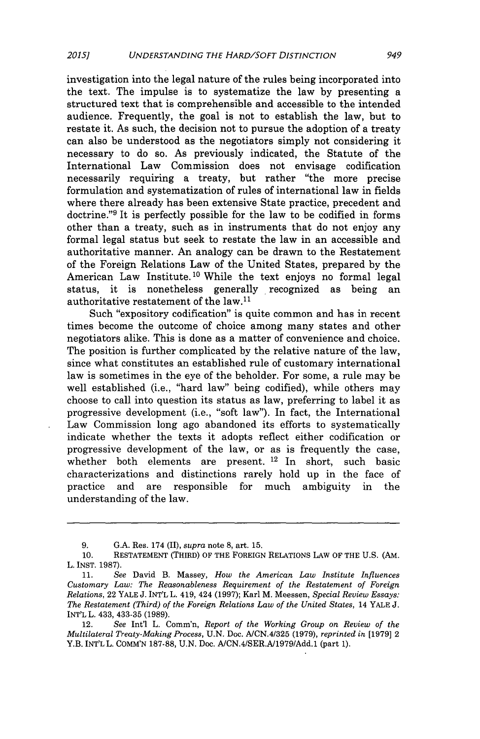investigation into the legal nature of the rules being incorporated into the text. The impulse is to systematize the law **by** presenting a structured text that is comprehensible and accessible to the intended audience. Frequently, the goal is not to establish the law, but to restate it. As such, the decision not to pursue the adoption of a treaty can also be understood as the negotiators simply not considering it necessary to do so. As previously indicated, the Statute of the International Law Commission does not envisage codification necessarily requiring a treaty, but rather "the more precise formulation and systematization of rules of international law in fields where there already has been extensive State practice, precedent and doctrine."<sup>9</sup>It is perfectly possible for the law to be codified in forms other than a treaty, such as in instruments that do not enjoy any formal legal status but seek to restate the law in an accessible and authoritative manner. An analogy can be drawn to the Restatement of the Foreign Relations Law of the United States, prepared **by** the American Law Institute.<sup>10</sup> While the text enjoys no formal legal status, it is nonetheless generally recognized as being an authoritative restatement of the law.<sup>11</sup>

Such "expository codification" is quite common and has in recent times become the outcome of choice among many states and other negotiators alike. This is done as a matter of convenience and choice. The position is further complicated **by** the relative nature of the law, since what constitutes an established rule of customary international law is sometimes in the eye of the beholder. For some, a rule may be well established (i.e., "hard law" being codified), while others may choose to call into question its status as law, preferring to label it as progressive development (i.e., "soft law"). In fact, the International Law Commission long ago abandoned its efforts to systematically indicate whether the texts it adopts reflect either codification or progressive development of the law, or as is frequently the case, whether both elements are present. <sup>12</sup> In short, such basic characterizations and distinctions rarely hold up in the face of practice and are responsible for much ambiguity in the understanding of the law.

**<sup>9.</sup> G.A.** Res. 174 (II), *supra* note **8,** art. **15.**

**<sup>10.</sup> RESTATEMENT** (THIRD) OF THE **FOREIGN** RELATIONS LAW OF THE **U.S.** (AM. L. **INST. 1987).**

**<sup>11.</sup>** *See* David B. Massey, *How the American Law Institute Influences Customary Law: The Reasonableness Requirement of the Restatement of Foreign Relations,* 22 YALE **J.** INT'L L. 419, 424 **(1997);** Karl M. Meessen, *Special Review Essays: The Restatement (Third) of the Foreign Relations Law of the United States,* 14 YALE **J.** INT'L L. 433, **433-35 (1989).**

<sup>12.</sup> *See* Int'l L. Comm'n, *Report of the Working Group on Review of the Multilateral Treaty-Making Process,* **U.N.** Doc. *A/CN.4/325* **(1979),** *reprinted in* **[1979]** 2 Y.B. **INT'L** L. **COMM'N 187-88, U.N.** Doc. **A/CN.4/SER.A/1979/Add.1** (part **1).**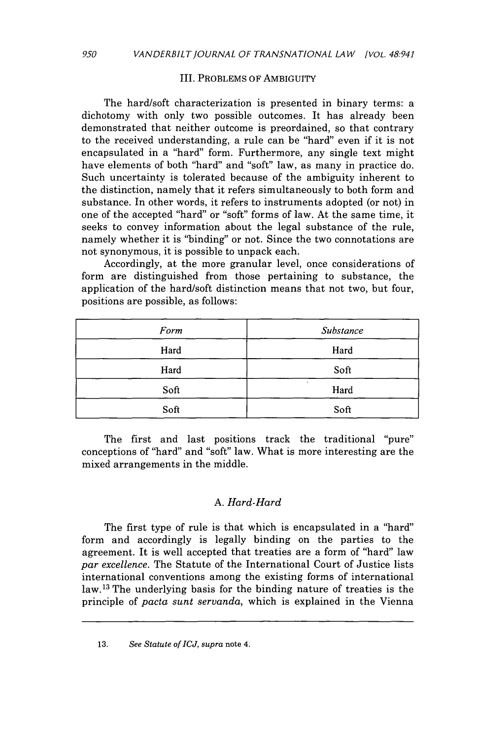#### III. PROBLEMS OF AMBIGUITY

The hard/soft characterization is presented in binary terms: a dichotomy with only two possible outcomes. It has already been demonstrated that neither outcome is preordained, so that contrary to the received understanding, a rule can be "hard" even if it is not encapsulated in a "hard" form. Furthermore, any single text might have elements of both "hard" and "soft" law, as many in practice do. Such uncertainty is tolerated because of the ambiguity inherent to the distinction, namely that it refers simultaneously to both form and substance. In other words, it refers to instruments adopted (or not) in one of the accepted "hard" or "soft" forms of law. At the same time, it seeks to convey information about the legal substance of the rule, namely whether it is "binding" or not. Since the two connotations are not synonymous, it is possible to unpack each.

Accordingly, at the more granular level, once considerations of form are distinguished from those pertaining to substance, the application of the hard/soft distinction means that not two, but four, positions are possible, as follows:

| Form | Substance |
|------|-----------|
| Hard | Hard      |
| Hard | Soft      |
| Soft | ٠<br>Hard |
| Soft | Soft      |

The first and last positions track the traditional "pure" conceptions of "hard" and "soft" law. What is more interesting are the mixed arrangements in the middle.

### *A. Hard-Hard*

The first type of rule is that which is encapsulated in a "hard" form and accordingly is legally binding on the parties to the agreement. It is well accepted that treaties are a form of "hard" law *par excellence.* The Statute of the International Court of Justice lists international conventions among the existing forms of international law.13 The underlying basis for the binding nature of treaties is the principle of *pacta sunt servanda,* which is explained in the Vienna

**<sup>13.</sup>** *See Statute of ICJ, supra* note *4.*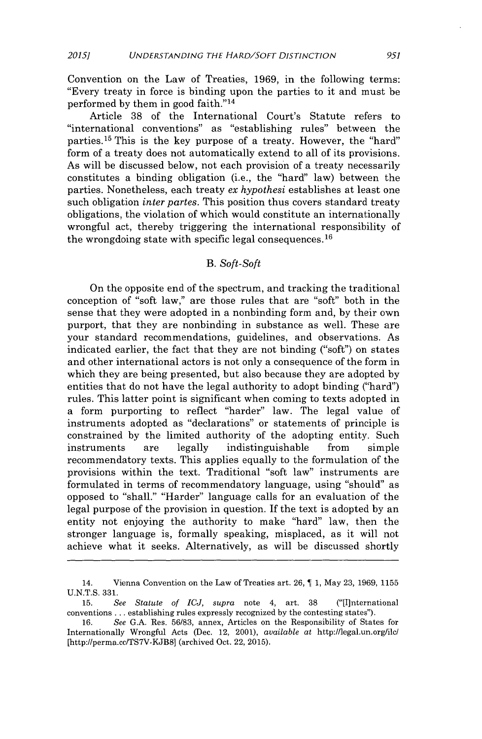Convention on the Law of Treaties, **1969,** in the following terms: "Every treaty in force is binding upon the parties to it and must be performed **by** them in good faith." <sup>14</sup>

Article **38** of the International Court's Statute refers to "international conventions" as "establishing rules" between the parties.<sup>15</sup> This is the key purpose of a treaty. However, the "hard" form of a treaty does not automatically extend to all of its provisions. As will be discussed below, not each provision of a treaty necessarily constitutes a binding obligation (i.e., the "hard" law) between the parties. Nonetheless, each treaty *ex hypothesi* establishes at least one such obligation *inter partes.* This position thus covers standard treaty obligations, the violation of which would constitute an internationally wrongful act, thereby triggering the international responsibility of the wrongdoing state with specific legal consequences.<sup>16</sup>

## *B. Soft-Soft*

On the opposite end of the spectrum, and tracking the traditional conception of "soft law," are those rules that are "soft" both in the sense that they were adopted in a nonbinding form and, **by** their own purport, that they are nonbinding in substance as well. These are your standard recommendations, guidelines, and observations. As indicated earlier, the fact that they are not binding ("soft") on states and other international actors is not only a consequence of the form in which they are being presented, but also because they are adopted **by** entities that do not have the legal authority to adopt binding ("hard") rules. This latter point is significant when coming to texts adopted in a form purporting to reflect "harder" law. The legal value of instruments adopted as "declarations" or statements of principle is constrained **by** the limited authority of the adopting entity. Such instruments are legally indistinguishable from simple recommendatory texts. This applies equally to the formulation of the provisions within the text. Traditional "soft law" instruments are formulated in terms of recommendatory language, using "should" as opposed to "shall." "Harder" language calls for an evaluation of the legal purpose of the provision in question. **If** the text is adopted **by** an entity not enjoying the authority to make "hard" law, then the stronger language is, formally speaking, misplaced, as it will not achieve what it seeks. Alternatively, as will be discussed shortly

<sup>14.</sup> Vienna Convention on the Law of Treaties art. **26,** ¶ **1,** May **23, 1969, 1155 U.N.T.S. 331.**

**<sup>15.</sup>** *See Statute of ICJ, supra* note 4, art. **38** ("[I]nternational conventions **...** establishing rules expressly recognized **by** the contesting states").

**<sup>16.</sup>** *See* **G.A.** Res. **56/83,** annex, Articles on the Responsibility of States for Internationally Wrongful Acts (Dec. 12, 2001), *available at* http://legal.un.org/ilc/ [http://perma.cc/TS7V-KJB8] (archived Oct. 22, **2015).**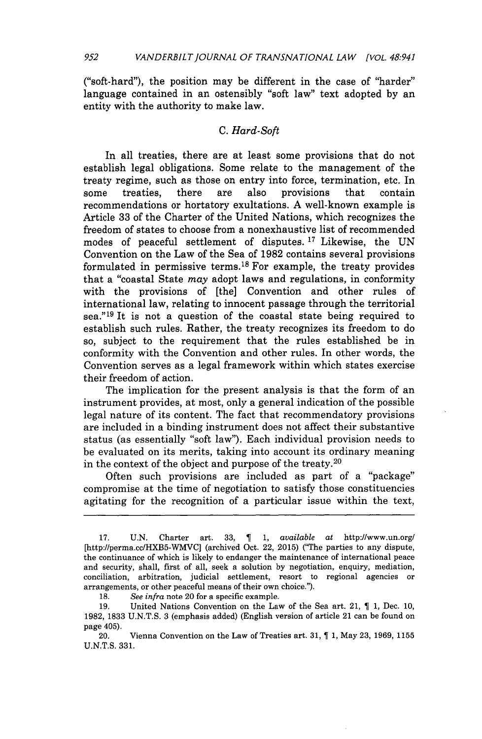("soft-hard"), the position may be different in the case of "harder" language contained in an ostensibly "soft law" text adopted **by** an entity with the authority to make law.

## *C. Hard-Soft*

In all treaties, there are at least some provisions that do not establish legal obligations. Some relate to the management of the treaty regime, such as those on entry into force, termination, etc. In some treaties, there are also provisions that contain recommendations or hortatory exultations. **A** well-known example is Article **33** of the Charter of the United Nations, which recognizes the freedom of states to choose from a nonexhaustive list of recommended modes of peaceful settlement of disputes. **17** Likewise, the **UN** Convention on the Law of the Sea of **1982** contains several provisions formulated in permissive terms.<sup>18</sup>For example, the treaty provides that a "coastal State *may* adopt laws and regulations, in conformity with the provisions of [the] Convention and other rules of international law, relating to innocent passage through the territorial sea."<sup>19</sup>It is not a question of the coastal state being required to establish such rules. Rather, the treaty recognizes its freedom to do so, subject to the requirement that the rules established be in conformity with the Convention and other rules. In other words, the Convention serves as a legal framework within which states exercise their freedom of action.

The implication for the present analysis is that the form of an instrument provides, at most, only a general indication of the possible legal nature of its content. The fact that recommendatory provisions are included in a binding instrument does not affect their substantive status (as essentially "soft law"). Each individual provision needs to be evaluated on its merits, taking into account its ordinary meaning in the context of the object and purpose of the treaty. <sup>20</sup>

Often such provisions are included as part of a "package" compromise at the time of negotiation to satisfy those constituencies agitating for the recognition of a particular issue within the text,

**18.** *See infra* note 20 for a specific example.

**<sup>17.</sup> U.N.** Charter art. **33,** *¶* **1,** *available at* http://www.un.org/ [http://perma.cc/HXB5-WMVC] (archived Oct. 22, **2015)** ("The parties to any dispute, the continuance of which is likely to endanger the maintenance of international peace and security, shall, first of all, seek a solution **by** negotiation, enquiry, mediation, conciliation, arbitration, judicial settlement, resort to regional agencies or arrangements, or other peaceful means of their own choice.").

**<sup>19.</sup>** United Nations Convention on the Law of the Sea art. 21, *¶* **1,** Dec. **10, 1982, 1833 U.N.T.S. 3** (emphasis added) (English version of article 21 can be found on page 405).

<sup>20.</sup> Vienna Convention on the Law of Treaties art. **31, 1 1,** May **23, 1969, 1155 U.N.T.S. 331.**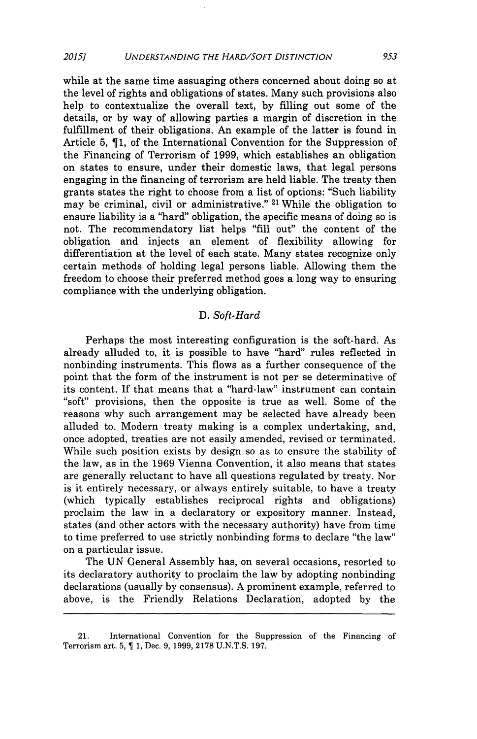while at the same time assuaging others concerned about doing so at the level of rights and obligations of states. Many such provisions also help to contextualize the overall text, **by** filling out some of the details, or **by** way of allowing parties a margin of discretion in the fulfillment of their obligations. An example of the latter is found in Article **5, ¶1,** of the International Convention for the Suppression of the Financing of Terrorism of **1999,** which establishes an obligation on states to ensure, under their domestic laws, that legal persons engaging in the financing of terrorism are held liable. The treaty then grants states the right to choose from a list of options: "Such liability may be criminal, civil or administrative." 21 While the obligation to ensure liability is a "hard" obligation, the specific means of doing so is not. The recommendatory list helps **"fill** out" the content of the obligation and injects an element of flexibility allowing for differentiation at the level of each state. Many states recognize only certain methods of holding legal persons liable. Allowing them the freedom to choose their preferred method goes a long way to ensuring compliance with the underlying obligation.

#### *D. Soft-Hard*

Perhaps the most interesting configuration is the soft-hard. As already alluded to, it is possible to have "hard" rules reflected in nonbinding instruments. This flows as a further consequence of the point that the form of the instrument is not per se determinative of its content. If that means that a "hard-law" instrument can contain "soft" provisions, then the opposite is true as well. Some of the reasons why such arrangement may be selected have already been alluded to. Modern treaty making is a complex undertaking, and, once adopted, treaties are not easily amended, revised or terminated. While such position exists **by** design so as to ensure the stability of the law, as in the **1969** Vienna Convention, it also means that states are generally reluctant to have all questions regulated **by** treaty. Nor is it entirely necessary, or always entirely suitable, to have a treaty (which typically establishes reciprocal rights and obligations) proclaim the law in a declaratory or expository manner. Instead, states (and other actors with the necessary authority) have from time to time preferred to use strictly nonbinding forms to declare "the law" on a particular issue.

The **UN** General Assembly has, on several occasions, resorted to its declaratory authority to proclaim the law **by** adopting nonbinding declarations (usually **by** consensus). **A** prominent example, referred to above, is the Friendly Relations Declaration, adopted **by** the

<sup>21.</sup> International Convention for the Suppression of the Financing of Terrorism art. **5, T 1,** Dec. **9, 1999, 2178 U.N.T.S. 197.**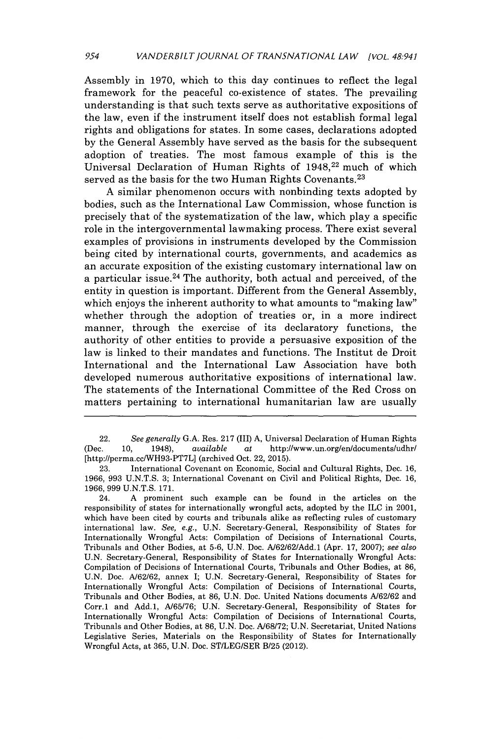Assembly in **1970,** which to this day continues to reflect the legal framework for the peaceful co-existence of states. The prevailing understanding is that such texts serve as authoritative expositions of the law, even if the instrument itself does not establish formal legal rights and obligations for states. In some cases, declarations adopted **by** the General Assembly have served as the basis for the subsequent adoption of treaties. The most famous example of this is the Universal Declaration of Human Rights of 1948,<sup>22</sup> much of which served as the basis for the two Human Rights Covenants.<sup>23</sup>

**A** similar phenomenon occurs with nonbinding texts adopted **by** bodies, such as the International Law Commission, whose function is precisely that of the systematization of the law, which play a specific role in the intergovernmental lawmaking process. There exist several examples of provisions in instruments developed **by** the Commission being cited **by** international courts, governments, and academics as an accurate exposition of the existing customary international law on a particular issue.<sup>24</sup> The authority, both actual and perceived, of the entity in question is important. Different from the General Assembly, which enjoys the inherent authority to what amounts to "making law" whether through the adoption of treaties or, in a more indirect manner, through the exercise of its declaratory functions, the authority of other entities to provide a persuasive exposition of the law is linked to their mandates and functions. The Institut de Droit International and the International Law Association have both developed numerous authoritative expositions of international law. The statements of the International Committee of the Red Cross on matters pertaining to international humanitarian law are usually

<sup>22.</sup> *See generally* **G.A.** Res. **217** (III) **A,** Universal Declaration of Human Rights (Dec. **10,** 1948), *available at* http://www.un.org/en/documents/udhr/ [http://perma.cclWH93-PT7L] (archived Oct. 22, **2015).**

**<sup>23.</sup>** International Covenant on Economic, Social and Cultural Rights, Dec. **16, 1966, 993 U.N.T.S. 3;** International Covenant on Civil and Political Rights, Dec. **16, 1966, 999 U.N.T.S. 171.**

<sup>24.</sup> **A** prominent such example can be found in the articles on the responsibility of states for internationally wrongful acts, adopted **by** the **ILC** in 2001, which have been cited **by** courts and tribunals alike as reflecting rules of customary international law. *See, e.g.,* **U.N.** Secretary-General, Responsibility of States for Internationally Wrongful Acts: Compilation of Decisions of International Courts, Tribunals and Other Bodies, at **5-6, U.N.** Doc. **A/62/62/Add.1** (Apr. **17, 2007);** *see also* **U.N.** Secretary-General, Responsibility of States for Internationally Wrongful Acts: Compilation of Decisions of International Courts, Tribunals and Other Bodies, at **86, U.N.** Doc. **A/62/62,** annex I; **U.N.** Secretary-General, Responsibility of States for Internationally Wrongful Acts: Compilation of Decisions of International Courts, Tribunals and Other Bodies, at **86, U.N.** Doc. United Nations documents **A/62/62** and Corr.1 and **Add.1, A/65/76; U.N.** Secretary-General, Responsibility of States for Internationally Wrongful Acts: Compilation of Decisions of International Courts, Tribunals and Other Bodies, at **86, U.N.** Doc. **A/68/72; U.N.** Secretariat, United Nations Legislative Series, Materials on the Responsibility of States for Internationally Wrongful Acts, at **365, U.N.** Doc. **ST/LEG/SER** B/25 (2012).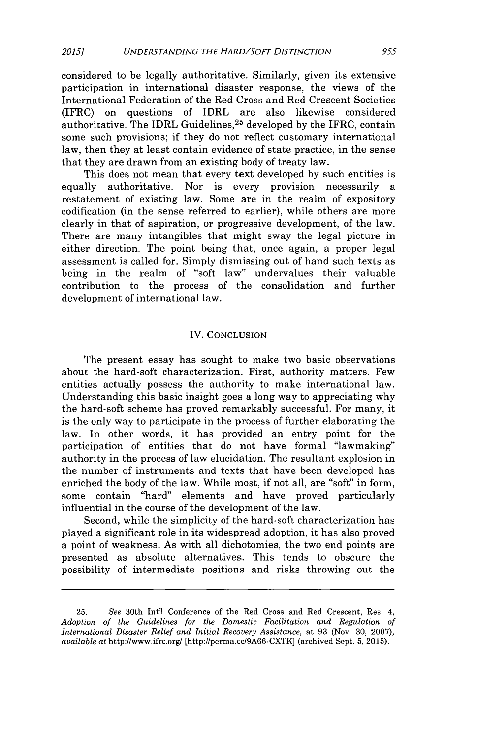considered to be legally authoritative. Similarly, given its extensive participation in international disaster response, the views of the International Federation of the Red Cross and Red Crescent Societies (IFRC) on questions of IDRL are also likewise considered authoritative. The IDRL Guidelines,<sup>25</sup> developed by the IFRC, contain some such provisions; if they do not reflect customary international law, then they at least contain evidence of state practice, in the sense that they are drawn from an existing body of treaty law.

This does not mean that every text developed **by** such entities is equally authoritative. Nor is every provision necessarily a restatement of existing law. Some are in the realm of expository codification (in the sense referred to earlier), while others are more clearly in that of aspiration, or progressive development, of the law. There are many intangibles that might sway the legal picture in either direction. The point being that, once again, a proper legal assessment is called for. Simply dismissing out of hand such texts as being in the realm of "soft law" undervalues their valuable contribution to the process of the consolidation and further development of international law.

#### IV. **CONCLUSION**

The present essay has sought to make two basic observations about the hard-soft characterization. First, authority matters. Few entities actually possess the authority to make international law. Understanding this basic insight goes a long way to appreciating why the hard-soft scheme has proved remarkably successful. For many, it is the only way to participate in the process of further elaborating the law. In other words, it has provided an entry point for the participation of entities that do not have formal "lawmaking" authority in the process of law elucidation. The resultant explosion in the number of instruments and texts that have been developed has enriched the body of the law. While most, if not all, are "soft" in form, some contain "hard" elements and have proved particularly influential in the course of the development of the law.

Second, while the simplicity of the hard-soft characterization has played a significant role in its widespread adoption, it has also proved a point of weakness. As with all dichotomies, the two end points are presented as absolute alternatives. This tends to obscure the possibility of intermediate positions and risks throwing out the

**<sup>25.</sup>** *See* 30th Int'l Conference of the Red Cross and Red Crescent, Res. 4, *Adoption of the Guidelines for the Domestic Facilitation and Regulation of International Disaster Relief and Initial Recovery Assistance, at* **93** (Nov. **30, 2007),** *available at* http://www.ifrc.org/ [http://perma.cc/9A66-CXTK] (archived Sept. **5, 2015).**